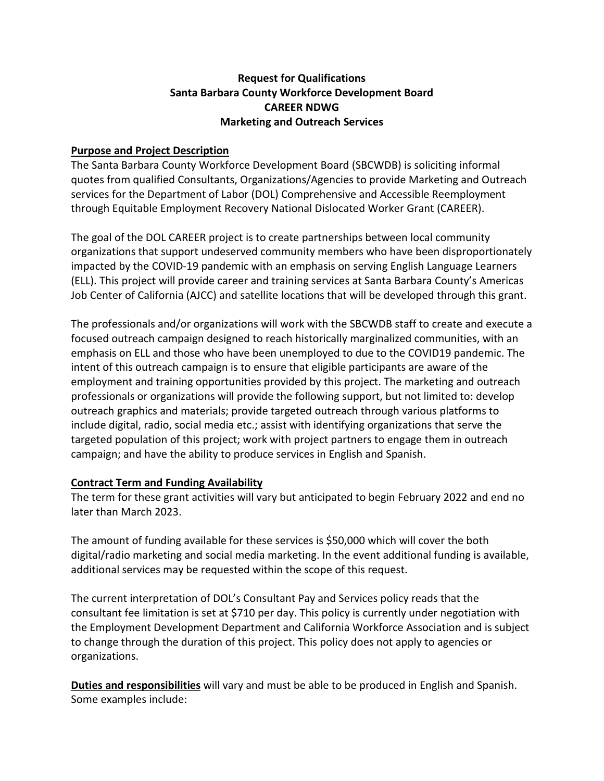## **Request for Qualifications Santa Barbara County Workforce Development Board CAREER NDWG Marketing and Outreach Services**

#### **Purpose and Project Description**

The Santa Barbara County Workforce Development Board (SBCWDB) is soliciting informal quotes from qualified Consultants, Organizations/Agencies to provide Marketing and Outreach services for the Department of Labor (DOL) Comprehensive and Accessible Reemployment through Equitable Employment Recovery National Dislocated Worker Grant (CAREER).

The goal of the DOL CAREER project is to create partnerships between local community organizations that support undeserved community members who have been disproportionately impacted by the COVID-19 pandemic with an emphasis on serving English Language Learners (ELL). This project will provide career and training services at Santa Barbara County's Americas Job Center of California (AJCC) and satellite locations that will be developed through this grant.

The professionals and/or organizations will work with the SBCWDB staff to create and execute a focused outreach campaign designed to reach historically marginalized communities, with an emphasis on ELL and those who have been unemployed to due to the COVID19 pandemic. The intent of this outreach campaign is to ensure that eligible participants are aware of the employment and training opportunities provided by this project. The marketing and outreach professionals or organizations will provide the following support, but not limited to: develop outreach graphics and materials; provide targeted outreach through various platforms to include digital, radio, social media etc.; assist with identifying organizations that serve the targeted population of this project; work with project partners to engage them in outreach campaign; and have the ability to produce services in English and Spanish.

## **Contract Term and Funding Availability**

The term for these grant activities will vary but anticipated to begin February 2022 and end no later than March 2023.

The amount of funding available for these services is \$50,000 which will cover the both digital/radio marketing and social media marketing. In the event additional funding is available, additional services may be requested within the scope of this request.

The current interpretation of DOL's Consultant Pay and Services policy reads that the consultant fee limitation is set at \$710 per day. This policy is currently under negotiation with the Employment Development Department and California Workforce Association and is subject to change through the duration of this project. This policy does not apply to agencies or organizations.

**Duties and responsibilities** will vary and must be able to be produced in English and Spanish. Some examples include: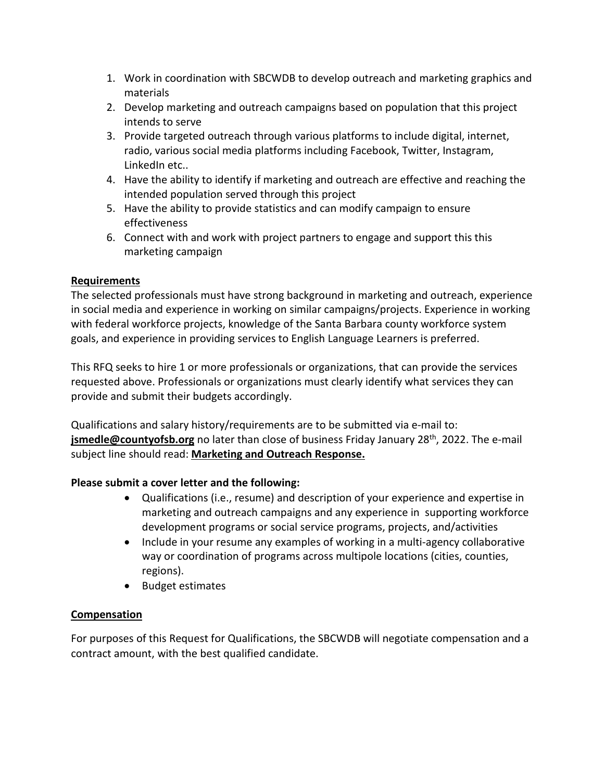- 1. Work in coordination with SBCWDB to develop outreach and marketing graphics and materials
- 2. Develop marketing and outreach campaigns based on population that this project intends to serve
- 3. Provide targeted outreach through various platforms to include digital, internet, radio, various social media platforms including Facebook, Twitter, Instagram, LinkedIn etc..
- 4. Have the ability to identify if marketing and outreach are effective and reaching the intended population served through this project
- 5. Have the ability to provide statistics and can modify campaign to ensure effectiveness
- 6. Connect with and work with project partners to engage and support this this marketing campaign

# **Requirements**

The selected professionals must have strong background in marketing and outreach, experience in social media and experience in working on similar campaigns/projects. Experience in working with federal workforce projects, knowledge of the Santa Barbara county workforce system goals, and experience in providing services to English Language Learners is preferred.

This RFQ seeks to hire 1 or more professionals or organizations, that can provide the services requested above. Professionals or organizations must clearly identify what services they can provide and submit their budgets accordingly.

Qualifications and salary history/requirements are to be submitted via e-mail to: **jsmedle@countyofsb.org** no later than close of business Friday January 28<sup>th</sup>, 2022. The e-mail subject line should read: **Marketing and Outreach Response.**

## **Please submit a cover letter and the following:**

- Qualifications (i.e., resume) and description of your experience and expertise in marketing and outreach campaigns and any experience in supporting workforce development programs or social service programs, projects, and/activities
- Include in your resume any examples of working in a multi-agency collaborative way or coordination of programs across multipole locations (cities, counties, regions).
- Budget estimates

## **Compensation**

For purposes of this Request for Qualifications, the SBCWDB will negotiate compensation and a contract amount, with the best qualified candidate.